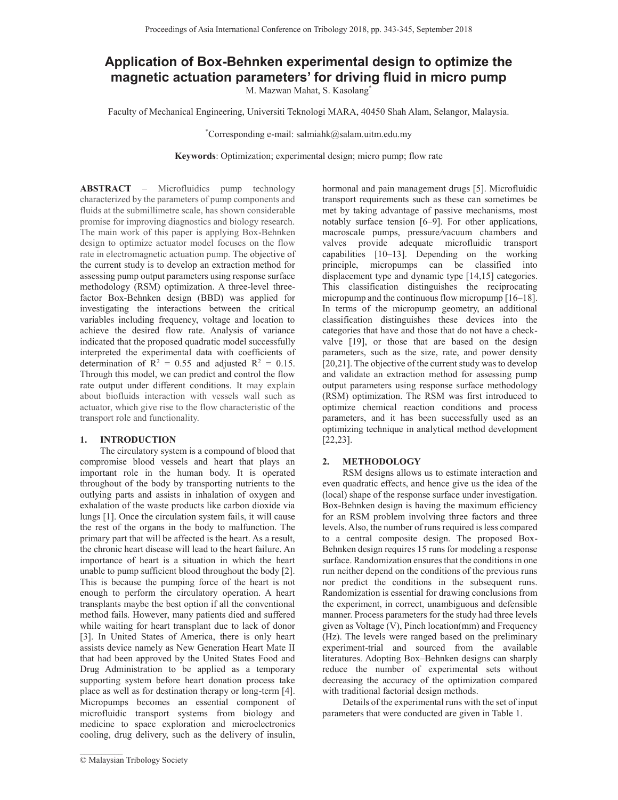# **Application of Box-Behnken experimental design to optimize the magnetic actuation parameters' for driving fluid in micro pump**

M. Mazwan Mahat, S. Kasolang\*

Faculty of Mechanical Engineering, Universiti Teknologi MARA, 40450 Shah Alam, Selangor, Malaysia.

\*Corresponding e-mail: salmiahk@salam.uitm.edu.my

**Keywords**: Optimization; experimental design; micro pump; flow rate

**ABSTRACT** – Microfluidics pump technology characterized by the parameters of pump components and fluids at the submillimetre scale, has shown considerable promise for improving diagnostics and biology research. The main work of this paper is applying Box-Behnken design to optimize actuator model focuses on the flow rate in electromagnetic actuation pump. The objective of the current study is to develop an extraction method for assessing pump output parameters using response surface methodology (RSM) optimization. A three-level threefactor Box-Behnken design (BBD) was applied for investigating the interactions between the critical variables including frequency, voltage and location to achieve the desired flow rate. Analysis of variance indicated that the proposed quadratic model successfully interpreted the experimental data with coefficients of determination of  $R^2 = 0.55$  and adjusted  $R^2 = 0.15$ . Through this model, we can predict and control the flow rate output under different conditions. It may explain about biofluids interaction with vessels wall such as actuator, which give rise to the flow characteristic of the transport role and functionality.

# **1. INTRODUCTION**

The circulatory system is a compound of blood that compromise blood vessels and heart that plays an important role in the human body. It is operated throughout of the body by transporting nutrients to the outlying parts and assists in inhalation of oxygen and exhalation of the waste products like carbon dioxide via lungs [1]. Once the circulation system fails, it will cause the rest of the organs in the body to malfunction. The primary part that will be affected is the heart. As a result, the chronic heart disease will lead to the heart failure. An importance of heart is a situation in which the heart unable to pump sufficient blood throughout the body [2]. This is because the pumping force of the heart is not enough to perform the circulatory operation. A heart transplants maybe the best option if all the conventional method fails. However, many patients died and suffered while waiting for heart transplant due to lack of donor [3]. In United States of America, there is only heart assists device namely as New Generation Heart Mate II that had been approved by the United States Food and Drug Administration to be applied as a temporary supporting system before heart donation process take place as well as for destination therapy or long-term [4]. Micropumps becomes an essential component of microfluidic transport systems from biology and medicine to space exploration and microelectronics cooling, drug delivery, such as the delivery of insulin,

 $\mathcal{L}_\text{max}$ 

hormonal and pain management drugs [5]. Microfluidic transport requirements such as these can sometimes be met by taking advantage of passive mechanisms, most notably surface tension [6–9]. For other applications, macroscale pumps, pressure*/*vacuum chambers and valves provide adequate microfluidic transport capabilities [10–13]. Depending on the working principle, micropumps can be classified into displacement type and dynamic type [14,15] categories. This classification distinguishes the reciprocating micropump and the continuous flow micropump [16–18]. In terms of the micropump geometry, an additional classification distinguishes these devices into the categories that have and those that do not have a checkvalve [19], or those that are based on the design parameters, such as the size, rate, and power density [20,21]. The objective of the current study was to develop and validate an extraction method for assessing pump output parameters using response surface methodology (RSM) optimization. The RSM was first introduced to optimize chemical reaction conditions and process parameters, and it has been successfully used as an optimizing technique in analytical method development [22,23].

# **2. METHODOLOGY**

RSM designs allows us to estimate interaction and even quadratic effects, and hence give us the idea of the (local) shape of the response surface under investigation. Box-Behnken design is having the maximum efficiency for an RSM problem involving three factors and three levels. Also, the number of runs required is less compared to a central composite design. The proposed Box-Behnken design requires 15 runs for modeling a response surface. Randomization ensures that the conditions in one run neither depend on the conditions of the previous runs nor predict the conditions in the subsequent runs. Randomization is essential for drawing conclusions from the experiment, in correct, unambiguous and defensible manner. Process parameters for the study had three levels given as Voltage (V), Pinch location(mm) and Frequency (Hz). The levels were ranged based on the preliminary experiment-trial and sourced from the available literatures. Adopting Box–Behnken designs can sharply reduce the number of experimental sets without decreasing the accuracy of the optimization compared with traditional factorial design methods.

Details of the experimental runs with the set of input parameters that were conducted are given in Table 1.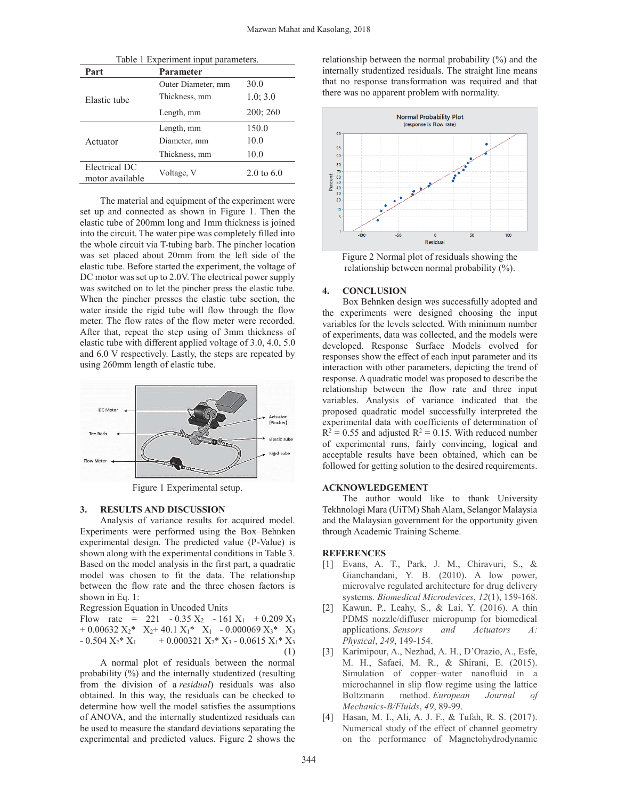| Table 1 Experiment input parameters. |                    |            |
|--------------------------------------|--------------------|------------|
| Part                                 | <b>Parameter</b>   |            |
| Elastic tube                         | Outer Diameter, mm | 30.0       |
|                                      | Thickness, mm      | 1.0; 3.0   |
|                                      | Length, mm         | 200:260    |
| Actuator                             | Length, mm         | 150.0      |
|                                      | Diameter, mm       | 10.0       |
|                                      | Thickness, mm      | 10.0       |
| Electrical DC<br>motor available     | Voltage, V         | 2.0 to 6.0 |
|                                      |                    |            |

The material and equipment of the experiment were set up and connected as shown in Figure 1. Then the elastic tube of 200mm long and 1mm thickness is joined into the circuit. The water pipe was completely filled into the whole circuit via T-tubing barb. The pincher location was set placed about 20mm from the left side of the elastic tube. Before started the experiment, the voltage of DC motor was set up to 2.0V. The electrical power supply was switched on to let the pincher press the elastic tube. When the pincher presses the elastic tube section, the water inside the rigid tube will flow through the flow meter. The flow rates of the flow meter were recorded. After that, repeat the step using of 3mm thickness of elastic tube with different applied voltage of 3.0, 4.0, 5.0 and 6.0 V respectively. Lastly, the steps are repeated by using 260mm length of elastic tube.



Figure 1 Experimental setup.

#### **3. RESULTS AND DISCUSSION**

Analysis of variance results for acquired model. Experiments were performed using the Box–Behnken experimental design. The predicted value (P-Value) is shown along with the experimental conditions in Table 3. Based on the model analysis in the first part, a quadratic model was chosen to fit the data. The relationship between the flow rate and the three chosen factors is shown in Eq. 1:

Regression Equation in Uncoded Units

Flow rate = 221 - 0.35  $X_2$  - 161  $X_1$  + 0.209  $X_3$ + 0.00632  $X_2$ \*  $X_2$ + 40.1  $X_1$ \*  $X_1$  - 0.000069  $X_3$ \*  $X_3$  $- 0.504 X_2^* X_1 + 0.000321 X_2^* X_3 - 0.0615 X_1^* X_3$ (1)

A normal plot of residuals between the normal probability (%) and the internally studentized (resulting from the division of a *residual*) residuals was also obtained. In this way, the residuals can be checked to determine how well the model satisfies the assumptions of ANOVA, and the internally studentized residuals can be used to measure the standard deviations separating the experimental and predicted values. Figure 2 shows the

relationship between the normal probability (%) and the internally studentized residuals. The straight line means that no response transformation was required and that there was no apparent problem with normality.



Figure 2 Normal plot of residuals showing the relationship between normal probability (%).

## **4. CONCLUSION**

Box Behnken design was successfully adopted and box behinden designed successity adopted and the experiments were designed choosing the input variables for the levels selected. With minimum number of experiments, data was collected, and the models were developed. Response Surface Models evolved for responses show the effect of each input parameter and its interaction with other parameters, depicting the trend of response. A quadratic model was proposed to describe the relationship between the flow rate and three input variables. Analysis of variance indicated that the proposed quadratic model successfully interpreted the experimental data with coefficients of determination of  $R^2 = 0.55$  and adjusted  $R^2 = 0.15$ . With reduced number of experimental runs, fairly convincing, logical and acceptable results have been obtained, which can be followed for getting solution to the desired requirements.

### **ACKNOWLEDGEMENT**

The author would like to thank University Tekhnologi Mara (UiTM) Shah Alam, Selangor Malaysia and the Malaysian government for the opportunity given through Academic Training Scheme.

## **REFERENCES**

- [1] Evans, A. T., Park, J. M., Chiravuri, S., & Gianchandani, Y. B. (2010). A low power, microvalve regulated architecture for drug delivery systems. *Biomedical Microdevices*, *12*(1), 159-168.
- [2] Kawun, P., Leahy, S., & Lai, Y. (2016). A thin PDMS nozzle/diffuser micropump for biomedical applications. *Sensors and Actuators A: Physical*, *249*, 149-154.
- [3] Karimipour, A., Nezhad, A. H., D'Orazio, A., Esfe, M. H., Safaei, M. R., & Shirani, E. (2015). Simulation of copper–water nanofluid in a microchannel in slip flow regime using the lattice Boltzmann method. *European Journal Mechanics-B/Fluids*, *49*, 89-99.
- [4] Hasan, M. I., Ali, A. J. F., & Tufah, R. S. (2017). Numerical study of the effect of channel geometry on the performance of Magnetohydrodynamic